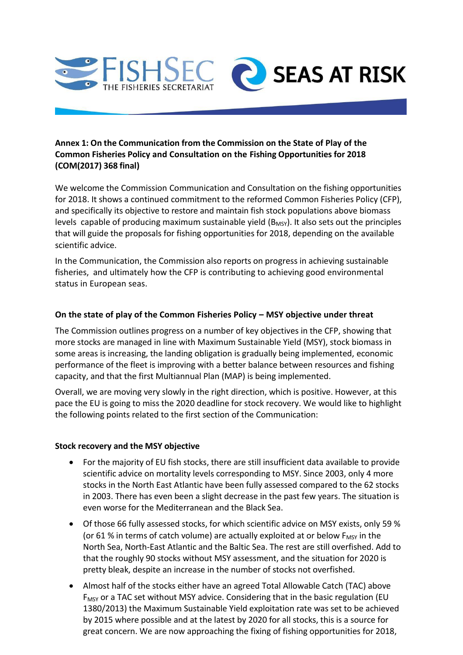



## **Annex 1: On the Communication from the Commission on the State of Play of the Common Fisheries Policy and Consultation on the Fishing Opportunities for 2018 (COM(2017) 368 final)**

We welcome the Commission Communication and Consultation on the fishing opportunities for 2018. It shows a continued commitment to the reformed Common Fisheries Policy (CFP), and specifically its objective to restore and maintain fish stock populations above biomass levels capable of producing maximum sustainable yield  $(B_{MSY})$ . It also sets out the principles that will guide the proposals for fishing opportunities for 2018, depending on the available scientific advice.

In the Communication, the Commission also reports on progress in achieving sustainable fisheries, and ultimately how the CFP is contributing to achieving good environmental status in European seas.

### **On the state of play of the Common Fisheries Policy – MSY objective under threat**

The Commission outlines progress on a number of key objectives in the CFP, showing that more stocks are managed in line with Maximum Sustainable Yield (MSY), stock biomass in some areas is increasing, the landing obligation is gradually being implemented, economic performance of the fleet is improving with a better balance between resources and fishing capacity, and that the first Multiannual Plan (MAP) is being implemented.

Overall, we are moving very slowly in the right direction, which is positive. However, at this pace the EU is going to miss the 2020 deadline for stock recovery. We would like to highlight the following points related to the first section of the Communication:

#### **Stock recovery and the MSY objective**

- For the majority of EU fish stocks, there are still insufficient data available to provide scientific advice on mortality levels corresponding to MSY. Since 2003, only 4 more stocks in the North East Atlantic have been fully assessed compared to the 62 stocks in 2003. There has even been a slight decrease in the past few years. The situation is even worse for the Mediterranean and the Black Sea.
- Of those 66 fully assessed stocks, for which scientific advice on MSY exists, only 59 % (or 61 % in terms of catch volume) are actually exploited at or below  $F_{MSY}$  in the North Sea, North-East Atlantic and the Baltic Sea. The rest are still overfished. Add to that the roughly 90 stocks without MSY assessment, and the situation for 2020 is pretty bleak, despite an increase in the number of stocks not overfished.
- Almost half of the stocks either have an agreed Total Allowable Catch (TAC) above  $F_{MSY}$  or a TAC set without MSY advice. Considering that in the basic regulation (EU 1380/2013) the Maximum Sustainable Yield exploitation rate was set to be achieved by 2015 where possible and at the latest by 2020 for all stocks, this is a source for great concern. We are now approaching the fixing of fishing opportunities for 2018,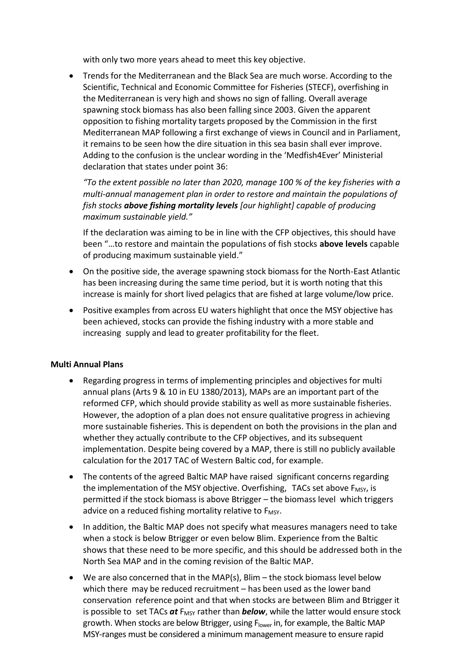with only two more years ahead to meet this key objective.

 Trends for the Mediterranean and the Black Sea are much worse. According to the Scientific, Technical and Economic Committee for Fisheries (STECF), overfishing in the Mediterranean is very high and shows no sign of falling. Overall average spawning stock biomass has also been falling since 2003. Given the apparent opposition to fishing mortality targets proposed by the Commission in the first Mediterranean MAP following a first exchange of views in Council and in Parliament, it remains to be seen how the dire situation in this sea basin shall ever improve. Adding to the confusion is the unclear wording in the 'Medfish4Ever' Ministerial declaration that states under point 36:

*"To the extent possible no later than 2020, manage 100 % of the key fisheries with a multi-annual management plan in order to restore and maintain the populations of fish stocks above fishing mortality levels [our highlight] capable of producing maximum sustainable yield."*

If the declaration was aiming to be in line with the CFP objectives, this should have been "…to restore and maintain the populations of fish stocks **above levels** capable of producing maximum sustainable yield."

- On the positive side, the average spawning stock biomass for the North-East Atlantic has been increasing during the same time period, but it is worth noting that this increase is mainly for short lived pelagics that are fished at large volume/low price.
- Positive examples from across EU waters highlight that once the MSY objective has been achieved, stocks can provide the fishing industry with a more stable and increasing supply and lead to greater profitability for the fleet.

### **Multi Annual Plans**

- Regarding progress in terms of implementing principles and objectives for multi annual plans (Arts 9 & 10 in EU 1380/2013), MAPs are an important part of the reformed CFP, which should provide stability as well as more sustainable fisheries. However, the adoption of a plan does not ensure qualitative progress in achieving more sustainable fisheries. This is dependent on both the provisions in the plan and whether they actually contribute to the CFP objectives, and its subsequent implementation. Despite being covered by a MAP, there is still no publicly available calculation for the 2017 TAC of Western Baltic cod, for example.
- The contents of the agreed Baltic MAP have raised significant concerns regarding the implementation of the MSY objective. Overfishing, TACs set above F<sub>MSY</sub>, is permitted if the stock biomass is above Btrigger – the biomass level which triggers advice on a reduced fishing mortality relative to F<sub>MSY</sub>.
- In addition, the Baltic MAP does not specify what measures managers need to take when a stock is below Btrigger or even below Blim. Experience from the Baltic shows that these need to be more specific, and this should be addressed both in the North Sea MAP and in the coming revision of the Baltic MAP.
- We are also concerned that in the MAP(s), Blim the stock biomass level below which there may be reduced recruitment – has been used as the lower band conservation reference point and that when stocks are between Blim and Btrigger it is possible to set TACs at F<sub>MSY</sub> rather than *below*, while the latter would ensure stock growth. When stocks are below Btrigger, using F<sub>lower</sub> in, for example, the Baltic MAP MSY-ranges must be considered a minimum management measure to ensure rapid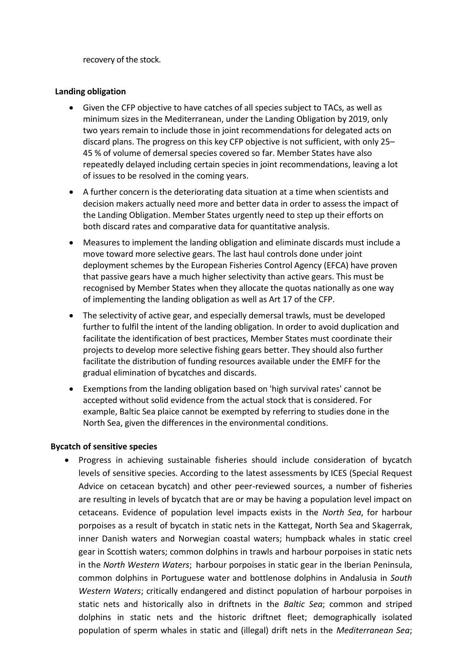recovery of the stock.

#### **Landing obligation**

- Given the CFP objective to have catches of all species subject to TACs, as well as minimum sizes in the Mediterranean, under the Landing Obligation by 2019, only two years remain to include those in joint recommendations for delegated acts on discard plans. The progress on this key CFP objective is not sufficient, with only 25– 45 % of volume of demersal species covered so far. Member States have also repeatedly delayed including certain species in joint recommendations, leaving a lot of issues to be resolved in the coming years.
- A further concern is the deteriorating data situation at a time when scientists and decision makers actually need more and better data in order to assess the impact of the Landing Obligation. Member States urgently need to step up their efforts on both discard rates and comparative data for quantitative analysis.
- Measures to implement the landing obligation and eliminate discards must include a move toward more selective gears. The last haul controls done under joint deployment schemes by the European Fisheries Control Agency (EFCA) have proven that passive gears have a much higher selectivity than active gears. This must be recognised by Member States when they allocate the quotas nationally as one way of implementing the landing obligation as well as Art 17 of the CFP.
- The selectivity of active gear, and especially demersal trawls, must be developed further to fulfil the intent of the landing obligation. In order to avoid duplication and facilitate the identification of best practices, Member States must coordinate their projects to develop more selective fishing gears better. They should also further facilitate the distribution of funding resources available under the EMFF for the gradual elimination of bycatches and discards.
- Exemptions from the landing obligation based on 'high survival rates' cannot be accepted without solid evidence from the actual stock that is considered. For example, Baltic Sea plaice cannot be exempted by referring to studies done in the North Sea, given the differences in the environmental conditions.

### **Bycatch of sensitive species**

 Progress in achieving sustainable fisheries should include consideration of bycatch levels of sensitive species. According to the latest assessments by ICES (Special Request Advice on cetacean bycatch) and other peer-reviewed sources, a number of fisheries are resulting in levels of bycatch that are or may be having a population level impact on cetaceans. Evidence of population level impacts exists in the *North Sea*, for harbour porpoises as a result of bycatch in static nets in the Kattegat, North Sea and Skagerrak, inner Danish waters and Norwegian coastal waters; humpback whales in static creel gear in Scottish waters; common dolphins in trawls and harbour porpoises in static nets in the *North Western Waters*; harbour porpoises in static gear in the Iberian Peninsula, common dolphins in Portuguese water and bottlenose dolphins in Andalusia in *South Western Waters*; critically endangered and distinct population of harbour porpoises in static nets and historically also in driftnets in the *Baltic Sea*; common and striped dolphins in static nets and the historic driftnet fleet; demographically isolated population of sperm whales in static and (illegal) drift nets in the *Mediterranean Sea*;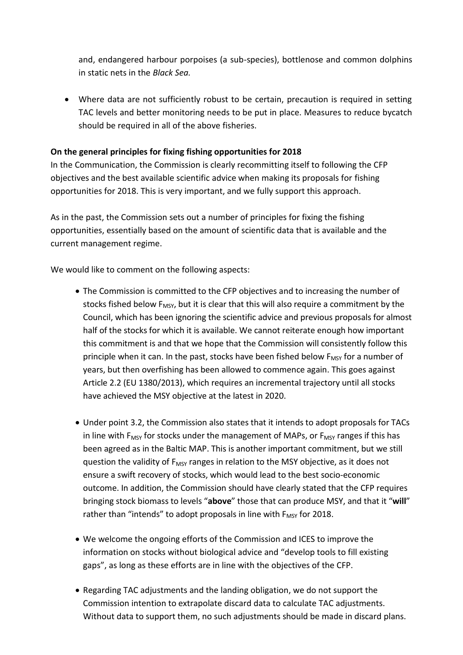and, endangered harbour porpoises (a sub-species), bottlenose and common dolphins in static nets in the *Black Sea.*

 Where data are not sufficiently robust to be certain, precaution is required in setting TAC levels and better monitoring needs to be put in place. Measures to reduce bycatch should be required in all of the above fisheries.

### **On the general principles for fixing fishing opportunities for 2018**

In the Communication, the Commission is clearly recommitting itself to following the CFP objectives and the best available scientific advice when making its proposals for fishing opportunities for 2018. This is very important, and we fully support this approach.

As in the past, the Commission sets out a number of principles for fixing the fishing opportunities, essentially based on the amount of scientific data that is available and the current management regime.

We would like to comment on the following aspects:

- The Commission is committed to the CFP objectives and to increasing the number of stocks fished below  $F_{MSY}$ , but it is clear that this will also require a commitment by the Council, which has been ignoring the scientific advice and previous proposals for almost half of the stocks for which it is available. We cannot reiterate enough how important this commitment is and that we hope that the Commission will consistently follow this principle when it can. In the past, stocks have been fished below  $F_{MSV}$  for a number of years, but then overfishing has been allowed to commence again. This goes against Article 2.2 (EU 1380/2013), which requires an incremental trajectory until all stocks have achieved the MSY objective at the latest in 2020.
- Under point 3.2, the Commission also states that it intends to adopt proposals for TACs in line with  $F_{MSY}$  for stocks under the management of MAPs, or  $F_{MSY}$  ranges if this has been agreed as in the Baltic MAP. This is another important commitment, but we still question the validity of  $F_{MSY}$  ranges in relation to the MSY objective, as it does not ensure a swift recovery of stocks, which would lead to the best socio-economic outcome. In addition, the Commission should have clearly stated that the CFP requires bringing stock biomass to levels "**above**" those that can produce MSY, and that it "**will**" rather than "intends" to adopt proposals in line with  $F_{MSY}$  for 2018.
- We welcome the ongoing efforts of the Commission and ICES to improve the information on stocks without biological advice and "develop tools to fill existing gaps", as long as these efforts are in line with the objectives of the CFP.
- Regarding TAC adjustments and the landing obligation, we do not support the Commission intention to extrapolate discard data to calculate TAC adjustments. Without data to support them, no such adjustments should be made in discard plans.